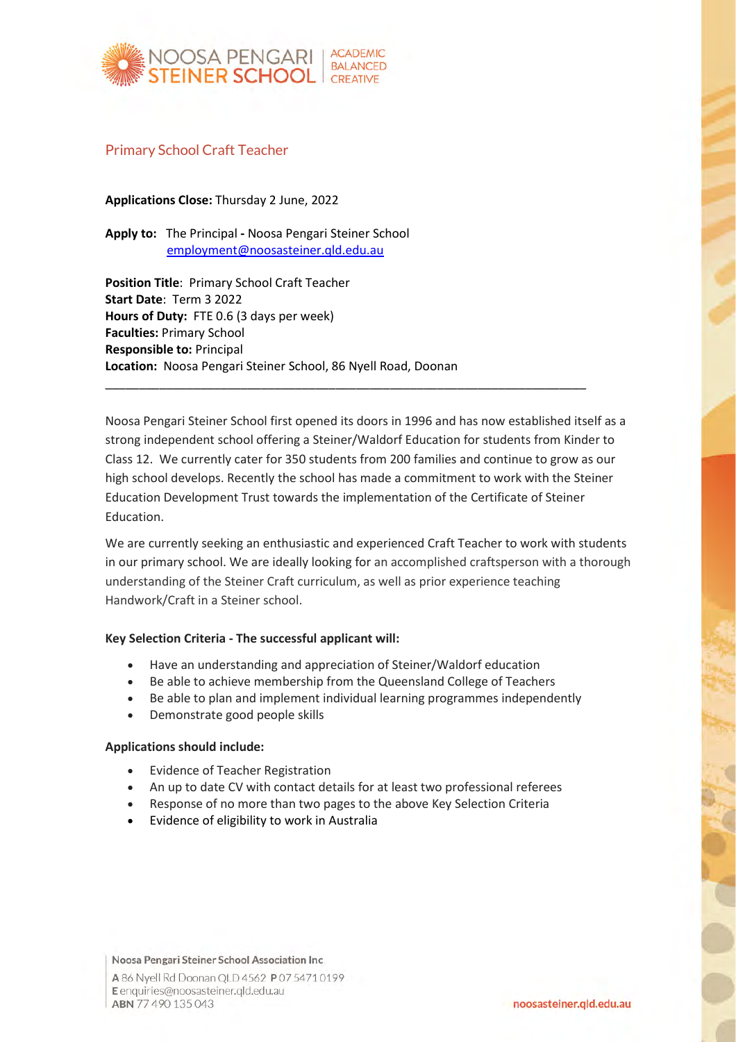

## Primary School Craft Teacher

**Applications Close:** Thursday 2 June, 2022

**Apply to:** The Principal **-** Noosa Pengari Steiner School [employment@noosasteiner.qld.edu.au](mailto:employment@noosasteiner.qld.edu.au)

**Position Title**: Primary School Craft Teacher **Start Date**: Term 3 2022 **Hours of Duty:** FTE 0.6 (3 days per week) **Faculties:** Primary School **Responsible to:** Principal **Location:** Noosa Pengari Steiner School, 86 Nyell Road, Doonan

Noosa Pengari Steiner School first opened its doors in 1996 and has now established itself as a strong independent school offering a Steiner/Waldorf Education for students from Kinder to Class 12. We currently cater for 350 students from 200 families and continue to grow as our high school develops. Recently the school has made a commitment to work with the Steiner Education Development Trust towards the implementation of the Certificate of Steiner Education.

\_\_\_\_\_\_\_\_\_\_\_\_\_\_\_\_\_\_\_\_\_\_\_\_\_\_\_\_\_\_\_\_\_\_\_\_\_\_\_\_\_\_\_\_\_\_\_\_\_\_\_\_\_\_\_\_\_\_\_\_\_\_\_\_\_\_\_\_\_\_\_

We are currently seeking an enthusiastic and experienced Craft Teacher to work with students in our primary school. We are ideally looking for an accomplished craftsperson with a thorough understanding of the Steiner Craft curriculum, as well as prior experience teaching Handwork/Craft in a Steiner school.

## **Key Selection Criteria - The successful applicant will:**

- Have an understanding and appreciation of Steiner/Waldorf education
- Be able to achieve membership from the Queensland College of Teachers
- Be able to plan and implement individual learning programmes independently
- Demonstrate good people skills

## **Applications should include:**

- Evidence of Teacher Registration
- An up to date CV with contact details for at least two professional referees
- Response of no more than two pages to the above Key Selection Criteria
- Evidence of eligibility to work in Australia

Noosa Pengari Steiner School Association Inc